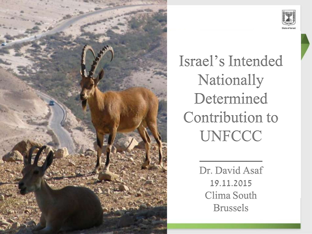



Israel's Intended Nationally Determined Contribution to **UNFCCC** 

> Dr. David Asaf 19.11.2015 Clima South Brussels

 $\frac{1}{2}$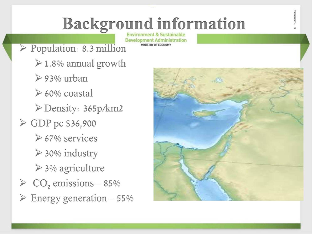# **Background information**

**Development Administration** MINISTRY OF ECONOMY

- Population: 8.3 million
	- $\geq 1.8\%$  annual growth
	- $\geq$  93% urban
	- $\geq 60\%$  coastal
	- Density: 365p/km2
- $\ge$  GDP pc \$36,900
	- $\geq 67\%$  services
	- $\geq$  30% industry
	- $\geq$  3% agriculture
- $\geq$  CO<sub>2</sub> emissions 85%
- $\triangleright$  Energy generation 55%

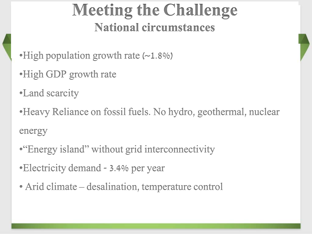#### **Meeting the Challenge National circumstances**

•High population growth rate  $(-1.8\%)$ 

- •High GDP growth rate
- •Land scarcity

•Heavy Reliance on fossil fuels. No hydro, geothermal, nuclear energy

- •"Energy island" without grid interconnectivity
- •Electricity demand 3.4% per year
- Arid climate desalination, temperature control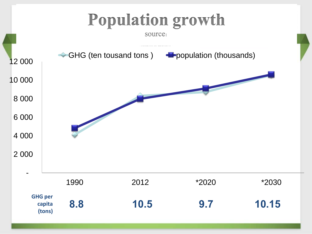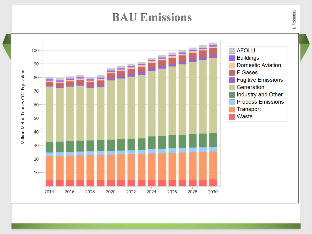#### **BAU Emissions**



 $\frac{1}{2}$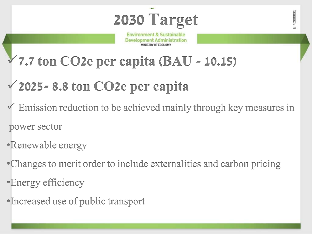**SERRETT** 

**Environment & Sustainable Development Administration** 

- **7.7 ton CO2e per capita (BAU - 10.15)**
- **2025- 8.8 ton CO2e per capita**
- Emission reduction to be achieved mainly through key measures in power sector
- •Renewable energy
- •Changes to merit order to include externalities and carbon pricing
- •Energy efficiency
- •Increased use of public transport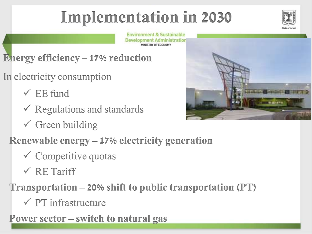## **Implementation in 2030**



**Environment & Sustainable Development Administration** 

- **Energy efficiency – 17% reduction**
- In electricity consumption
	- $\checkmark$  EE fund
	- $\checkmark$  Regulations and standards
	- $\checkmark$  Green building
	- **Renewable energy – 17% electricity generation** 
		- $\checkmark$  Competitive quotas
		- $\checkmark$  RE Tariff

**Transportation – 20% shift to public transportation (PT)**

 $\checkmark$  PT infrastructure

**Power sector – switch to natural gas**

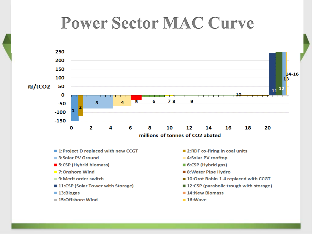### **Power Sector MAC Curve**



- 1: Project D replaced with new CCGT
- 3:Solar PV Ground
- 5:CSP (Hybrid biomass)
- 7:Onshore Wind
- 9: Merit order switch
- 11:CSP (Solar Tower with Storage)
- 13:Biogas
- 15:Offshore Wind
- 2: RDF co-firing in coal units
- 4:Solar PV rooftop
- 6:CSP (Hybrid gas)
- 8: Water Pipe Hydro
- 10:Orot Rabin 1-4 replaced with CCGT
- 12:CSP (parabolic trough with storage)
- 14:New Biomass
- $\blacksquare$  16: Wave